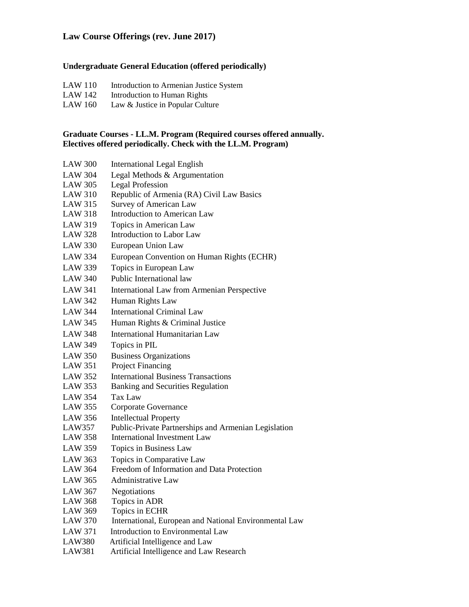# **Law Course Offerings (rev. June 2017)**

# **Undergraduate General Education (offered periodically)**

- LAW 110 Introduction to Armenian Justice System<br>LAW 142 Introduction to Human Rights
- Introduction to Human Rights
- LAW 160 Law & Justice in Popular Culture

# **Graduate Courses - LL.M. Program (Required courses offered annually. Electives offered periodically. Check with the LL.M. Program)**

| <b>LAW 300</b> | <b>International Legal English</b>                     |
|----------------|--------------------------------------------------------|
| <b>LAW 304</b> | Legal Methods & Argumentation                          |
| <b>LAW 305</b> | <b>Legal Profession</b>                                |
| <b>LAW 310</b> | Republic of Armenia (RA) Civil Law Basics              |
| <b>LAW 315</b> | Survey of American Law                                 |
| <b>LAW 318</b> | <b>Introduction to American Law</b>                    |
| <b>LAW 319</b> | Topics in American Law                                 |
| <b>LAW 328</b> | Introduction to Labor Law                              |
| <b>LAW 330</b> | European Union Law                                     |
| <b>LAW 334</b> | European Convention on Human Rights (ECHR)             |
| <b>LAW 339</b> | Topics in European Law                                 |
| <b>LAW 340</b> | Public International law                               |
| <b>LAW 341</b> | International Law from Armenian Perspective            |
| <b>LAW 342</b> | Human Rights Law                                       |
| <b>LAW 344</b> | <b>International Criminal Law</b>                      |
| <b>LAW 345</b> | Human Rights & Criminal Justice                        |
| <b>LAW 348</b> | <b>International Humanitarian Law</b>                  |
| <b>LAW 349</b> | Topics in PIL                                          |
| <b>LAW 350</b> | <b>Business Organizations</b>                          |
| <b>LAW 351</b> | Project Financing                                      |
| <b>LAW 352</b> | <b>International Business Transactions</b>             |
| <b>LAW 353</b> | <b>Banking and Securities Regulation</b>               |
| <b>LAW 354</b> | <b>Tax Law</b>                                         |
| <b>LAW 355</b> | Corporate Governance                                   |
| <b>LAW 356</b> | <b>Intellectual Property</b>                           |
| LAW357         | Public-Private Partnerships and Armenian Legislation   |
| <b>LAW 358</b> | <b>International Investment Law</b>                    |
| <b>LAW 359</b> | Topics in Business Law                                 |
| <b>LAW 363</b> | Topics in Comparative Law                              |
| <b>LAW 364</b> | Freedom of Information and Data Protection             |
| <b>LAW 365</b> | <b>Administrative Law</b>                              |
| <b>LAW 367</b> | Negotiations                                           |
| <b>LAW 368</b> | Topics in ADR                                          |
| <b>LAW 369</b> | Topics in ECHR                                         |
| <b>LAW 370</b> | International, European and National Environmental Law |
| <b>LAW 371</b> | Introduction to Environmental Law                      |
| <b>LAW380</b>  | Artificial Intelligence and Law                        |
| <b>LAW381</b>  | Artificial Intelligence and Law Research               |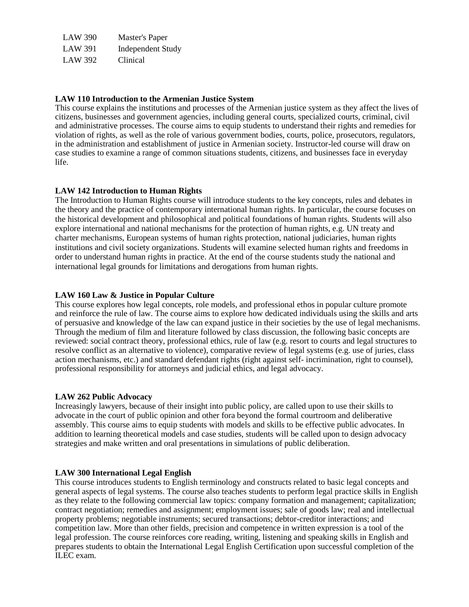| <b>LAW 390</b> | <b>Master's Paper</b>    |
|----------------|--------------------------|
| <b>LAW 391</b> | <b>Independent Study</b> |
| LAW 392        | Clinical                 |

#### **LAW 110 Introduction to the Armenian Justice System**

This course explains the institutions and processes of the Armenian justice system as they affect the lives of citizens, businesses and government agencies, including general courts, specialized courts, criminal, civil and administrative processes. The course aims to equip students to understand their rights and remedies for violation of rights, as well as the role of various government bodies, courts, police, prosecutors, regulators, in the administration and establishment of justice in Armenian society. Instructor-led course will draw on case studies to examine a range of common situations students, citizens, and businesses face in everyday life.

#### **LAW 142 Introduction to Human Rights**

The Introduction to Human Rights course will introduce students to the key concepts, rules and debates in the theory and the practice of contemporary international human rights. In particular, the course focuses on the historical development and philosophical and political foundations of human rights. Students will also explore international and national mechanisms for the protection of human rights, e.g. UN treaty and charter mechanisms, European systems of human rights protection, national judiciaries, human rights institutions and civil society organizations. Students will examine selected human rights and freedoms in order to understand human rights in practice. At the end of the course students study the national and international legal grounds for limitations and derogations from human rights.

### **LAW 160 Law & Justice in Popular Culture**

This course explores how legal concepts, role models, and professional ethos in popular culture promote and reinforce the rule of law. The course aims to explore how dedicated individuals using the skills and arts of persuasive and knowledge of the law can expand justice in their societies by the use of legal mechanisms. Through the medium of film and literature followed by class discussion, the following basic concepts are reviewed: social contract theory, professional ethics, rule of law (e.g. resort to courts and legal structures to resolve conflict as an alternative to violence), comparative review of legal systems (e.g. use of juries, class action mechanisms, etc.) and standard defendant rights (right against self‐ incrimination, right to counsel), professional responsibility for attorneys and judicial ethics, and legal advocacy.

#### **LAW 262 Public Advocacy**

Increasingly lawyers, because of their insight into public policy, are called upon to use their skills to advocate in the court of public opinion and other fora beyond the formal courtroom and deliberative assembly. This course aims to equip students with models and skills to be effective public advocates. In addition to learning theoretical models and case studies, students will be called upon to design advocacy strategies and make written and oral presentations in simulations of public deliberation.

### **LAW 300 International Legal English**

This course introduces students to English terminology and constructs related to basic legal concepts and general aspects of legal systems. The course also teaches students to perform legal practice skills in English as they relate to the following commercial law topics: company formation and management; capitalization; contract negotiation; remedies and assignment; employment issues; sale of goods law; real and intellectual property problems; negotiable instruments; secured transactions; debtor‐creditor interactions; and competition law. More than other fields, precision and competence in written expression is a tool of the legal profession. The course reinforces core reading, writing, listening and speaking skills in English and prepares students to obtain the International Legal English Certification upon successful completion of the ILEC exam.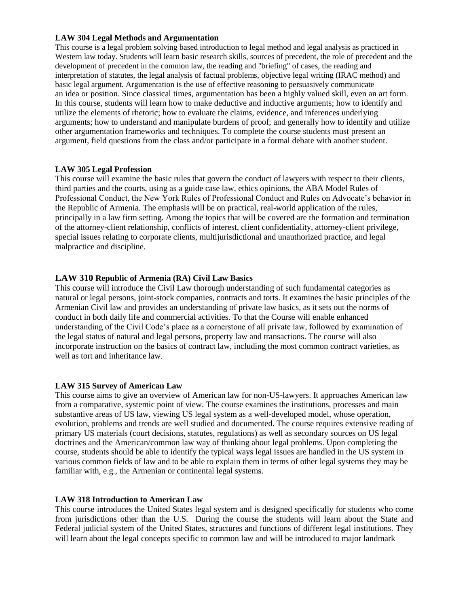## **LAW 304 Legal Methods and Argumentation**

This course is a legal problem solving based introduction to legal method and legal analysis as practiced in Western law today. Students will learn basic research skills, sources of precedent, the role of precedent and the development of precedent in the common law, the reading and "briefing" of cases, the reading and interpretation of statutes, the legal analysis of factual problems, objective legal writing (IRAC method) and basic legal argument. Argumentation is the use of effective reasoning to persuasively communicate an idea or position. Since classical times, argumentation has been a highly valued skill, even an art form. In this course, students will learn how to make deductive and inductive arguments; how to identify and utilize the elements of rhetoric; how to evaluate the claims, evidence, and inferences underlying arguments; how to understand and manipulate burdens of proof; and generally how to identify and utilize other argumentation frameworks and techniques. To complete the course students must present an argument, field questions from the class and/or participate in a formal debate with another student.

## **LAW 305 Legal Profession**

This course will examine the basic rules that govern the conduct of lawyers with respect to their clients, third parties and the courts, using as a guide case law, ethics opinions, the ABA Model Rules of Professional Conduct, the New York Rules of Professional Conduct and Rules on Advocate's behavior in the Republic of Armenia. The emphasis will be on practical, real-world application of the rules, principally in a law firm setting. Among the topics that will be covered are the formation and termination of the attorney-client relationship, conflicts of interest, client confidentiality, attorney-client privilege, special issues relating to corporate clients, multijurisdictional and unauthorized practice, and legal malpractice and discipline.

# **LAW 310 Republic of Armenia (RA) Civil Law Basics**

This course will introduce the Civil Law thorough understanding of such fundamental categories as natural or legal persons, joint-stock companies, contracts and torts. It examines the basic principles of the Armenian Civil law and provides an understanding of private law basics, as it sets out the norms of conduct in both daily life and commercial activities. To that the Course will enable enhanced understanding of the Civil Code's place as a cornerstone of all private law, followed by examination of the legal status of natural and legal persons, property law and transactions. The course will also incorporate instruction on the basics of contract law, including the most common contract varieties, as well as tort and inheritance law.

### **LAW 315 Survey of American Law**

This course aims to give an overview of American law for non-US-lawyers. It approaches American law from a comparative, systemic point of view. The course examines the institutions, processes and main substantive areas of US law, viewing US legal system as a well-developed model, whose operation, evolution, problems and trends are well studied and documented. The course requires extensive reading of primary US materials (court decisions, statutes, regulations) as well as secondary sources on US legal doctrines and the American/common law way of thinking about legal problems. Upon completing the course, students should be able to identify the typical ways legal issues are handled in the US system in various common fields of law and to be able to explain them in terms of other legal systems they may be familiar with, e.g., the Armenian or continental legal systems.

### **LAW 318 Introduction to American Law**

This course introduces the United States legal system and is designed specifically for students who come from jurisdictions other than the U.S. During the course the students will learn about the State and Federal judicial system of the United States, structures and functions of different legal institutions. They will learn about the legal concepts specific to common law and will be introduced to major landmark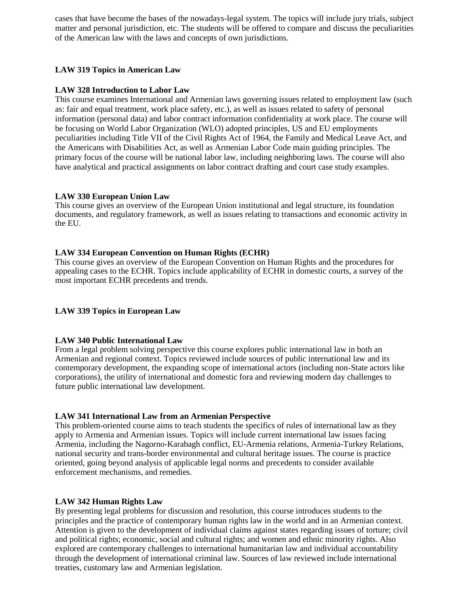cases that have become the bases of the nowadays-legal system. The topics will include jury trials, subject matter and personal jurisdiction, etc. The students will be offered to compare and discuss the peculiarities of the American law with the laws and concepts of own jurisdictions.

# **LAW 319 Topics in American Law**

## **LAW 328 Introduction to Labor Law**

This course examines International and Armenian laws governing issues related to employment law (such as: fair and equal treatment, work place safety, etc.), as well as issues related to safety of personal information (personal data) and labor contract information confidentiality at work place. The course will be focusing on World Labor Organization (WLO) adopted principles, US and EU employments peculiarities including Title VII of the Civil Rights Act of 1964, the Family and Medical Leave Act, and the Americans with Disabilities Act, as well as Armenian Labor Code main guiding principles. The primary focus of the course will be national labor law, including neighboring laws. The course will also have analytical and practical assignments on labor contract drafting and court case study examples.

## **LAW 330 European Union Law**

This course gives an overview of the European Union institutional and legal structure, its foundation documents, and regulatory framework, as well as issues relating to transactions and economic activity in the EU.

## **LAW 334 European Convention on Human Rights (ECHR)**

This course gives an overview of the European Convention on Human Rights and the procedures for appealing cases to the ECHR. Topics include applicability of ECHR in domestic courts, a survey of the most important ECHR precedents and trends.

### **LAW 339 Topics in European Law**

### **LAW 340 Public International Law**

From a legal problem solving perspective this course explores public international law in both an Armenian and regional context. Topics reviewed include sources of public international law and its contemporary development, the expanding scope of international actors (including non‐State actors like corporations), the utility of international and domestic fora and reviewing modern day challenges to future public international law development.

### **LAW 341 International Law from an Armenian Perspective**

This problem-oriented course aims to teach students the specifics of rules of international law as they apply to Armenia and Armenian issues. Topics will include current international law issues facing Armenia, including the Nagorno-Karabagh conflict, EU-Armenia relations, Armenia-Turkey Relations, national security and trans-border environmental and cultural heritage issues. The course is practice oriented, going beyond analysis of applicable legal norms and precedents to consider available enforcement mechanisms, and remedies.

### **LAW 342 Human Rights Law**

By presenting legal problems for discussion and resolution, this course introduces students to the principles and the practice of contemporary human rights law in the world and in an Armenian context. Attention is given to the development of individual claims against states regarding issues of torture; civil and political rights; economic, social and cultural rights; and women and ethnic minority rights. Also explored are contemporary challenges to international humanitarian law and individual accountability through the development of international criminal law. Sources of law reviewed include international treaties, customary law and Armenian legislation.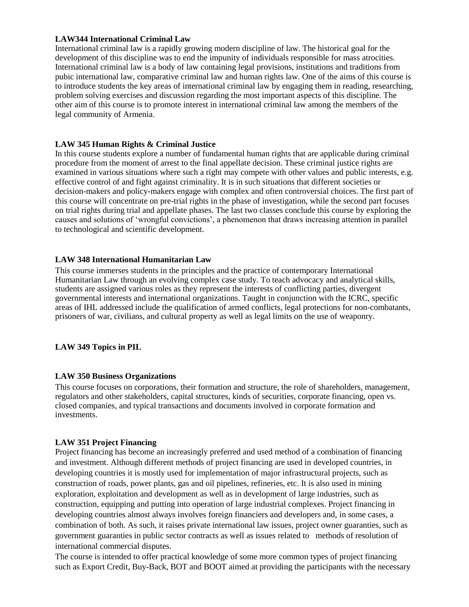### **LAW344 International Criminal Law**

International criminal law is a rapidly growing modern discipline of law. The historical goal for the development of this discipline was to end the impunity of individuals responsible for mass atrocities. International criminal law is a body of law containing legal provisions, institutions and traditions from pubic international law, comparative criminal law and human rights law. One of the aims of this course is to introduce students the key areas of international criminal law by engaging them in reading, researching, problem solving exercises and discussion regarding the most important aspects of this discipline. The other aim of this course is to promote interest in international criminal law among the members of the legal community of Armenia.

## **LAW 345 Human Rights & Criminal Justice**

In this course students explore a number of fundamental human rights that are applicable during criminal procedure from the moment of arrest to the final appellate decision. These criminal justice rights are examined in various situations where such a right may compete with other values and public interests, e.g. effective control of and fight against criminality. It is in such situations that different societies or decision-makers and policy-makers engage with complex and often controversial choices. The first part of this course will concentrate on pre-trial rights in the phase of investigation, while the second part focuses on trial rights during trial and appellate phases. The last two classes conclude this course by exploring the causes and solutions of 'wrongful convictions', a phenomenon that draws increasing attention in parallel to technological and scientific development.

## **LAW 348 International Humanitarian Law**

This course immerses students in the principles and the practice of contemporary International Humanitarian Law through an evolving complex case study. To teach advocacy and analytical skills, students are assigned various roles as they represent the interests of conflicting parties, divergent governmental interests and international organizations. Taught in conjunction with the ICRC, specific areas of IHL addressed include the qualification of armed conflicts, legal protections for non‐combatants, prisoners of war, civilians, and cultural property as well as legal limits on the use of weaponry.

### **LAW 349 Topics in PIL**

### **LAW 350 Business Organizations**

This course focuses on corporations, their formation and structure, the role of shareholders, management, regulators and other stakeholders, capital structures, kinds of securities, corporate financing, open vs. closed companies, and typical transactions and documents involved in corporate formation and investments.

### **LAW 351 Project Financing**

Project financing has become an increasingly preferred and used method of a combination of financing and investment. Although different methods of project financing are used in developed countries, in developing countries it is mostly used for implementation of major infrastructural projects, such as construction of roads, power plants, gas and oil pipelines, refineries, etc. It is also used in mining exploration, exploitation and development as well as in development of large industries, such as construction, equipping and putting into operation of large industrial complexes. Project financing in developing countries almost always involves foreign financiers and developers and, in some cases, a combination of both. As such, it raises private international law issues, project owner guaranties, such as government guaranties in public sector contracts as well as issues related to methods of resolution of international commercial disputes.

The course is intended to offer practical knowledge of some more common types of project financing such as Export Credit, Buy-Back, BOT and BOOT aimed at providing the participants with the necessary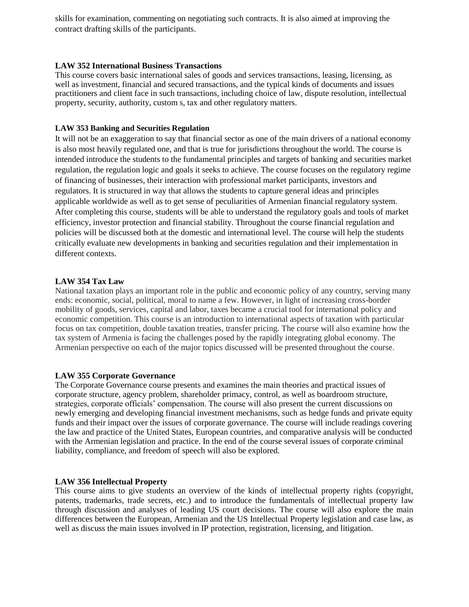skills for examination, commenting on negotiating such contracts. It is also aimed at improving the contract drafting skills of the participants.

### **LAW 352 International Business Transactions**

This course covers basic international sales of goods and services transactions, leasing, licensing, as well as investment, financial and secured transactions, and the typical kinds of documents and issues practitioners and client face in such transactions, including choice of law, dispute resolution, intellectual property, security, authority, custom s, tax and other regulatory matters.

### **LAW 353 Banking and Securities Regulation**

It will not be an exaggeration to say that financial sector as one of the main drivers of a national economy is also most heavily regulated one, and that is true for jurisdictions throughout the world. The course is intended introduce the students to the fundamental principles and targets of banking and securities market regulation, the regulation logic and goals it seeks to achieve. The course focuses on the regulatory regime of financing of businesses, their interaction with professional market participants, investors and regulators. It is structured in way that allows the students to capture general ideas and principles applicable worldwide as well as to get sense of peculiarities of Armenian financial regulatory system. After completing this course, students will be able to understand the regulatory goals and tools of market efficiency, investor protection and financial stability. Throughout the course financial regulation and policies will be discussed both at the domestic and international level. The course will help the students critically evaluate new developments in banking and securities regulation and their implementation in different contexts.

#### **LAW 354 Tax Law**

National taxation plays an important role in the public and economic policy of any country, serving many ends: economic, social, political, moral to name a few. However, in light of increasing cross-border mobility of goods, services, capital and labor, taxes became a crucial tool for international policy and economic competition. This course is an introduction to international aspects of taxation with particular focus on tax competition, double taxation treaties, transfer pricing. The course will also examine how the tax system of Armenia is facing the challenges posed by the rapidly integrating global economy. The Armenian perspective on each of the major topics discussed will be presented throughout the course.

### **LAW 355 Corporate Governance**

The Corporate Governance course presents and examines the main theories and practical issues of corporate structure, agency problem, shareholder primacy, control, as well as boardroom structure, strategies, corporate officials' compensation. The course will also present the current discussions on newly emerging and developing financial investment mechanisms, such as hedge funds and private equity funds and their impact over the issues of corporate governance. The course will include readings covering the law and practice of the United States, European countries, and comparative analysis will be conducted with the Armenian legislation and practice. In the end of the course several issues of corporate criminal liability, compliance, and freedom of speech will also be explored.

#### **LAW 356 Intellectual Property**

This course aims to give students an overview of the kinds of intellectual property rights (copyright, patents, trademarks, trade secrets, etc.) and to introduce the fundamentals of intellectual property law through discussion and analyses of leading US court decisions. The course will also explore the main differences between the European, Armenian and the US Intellectual Property legislation and case law, as well as discuss the main issues involved in IP protection, registration, licensing, and litigation.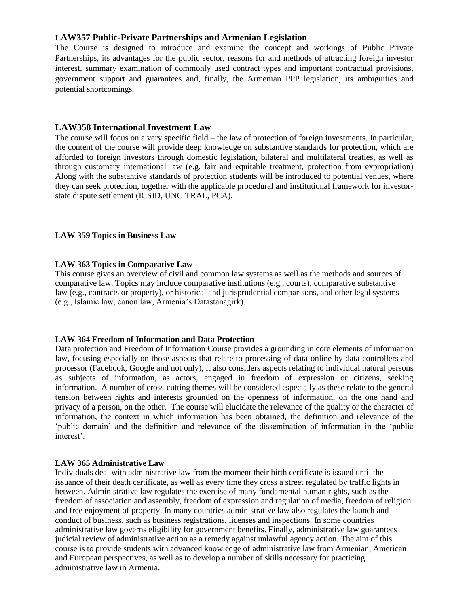# **LAW357 Public-Private Partnerships and Armenian Legislation**

The Course is designed to introduce and examine the concept and workings of Public Private Partnerships, its advantages for the public sector, reasons for and methods of attracting foreign investor interest, summary examination of commonly used contract types and important contractual provisions, government support and guarantees and, finally, the Armenian PPP legislation, its ambiguities and potential shortcomings.

## **LAW358 International Investment Law**

The course will focus on a very specific field – the law of protection of foreign investments. In particular, the content of the course will provide deep knowledge on substantive standards for protection, which are afforded to foreign investors through domestic legislation, bilateral and multilateral treaties, as well as through customary international law (e.g. fair and equitable treatment, protection from expropriation) Along with the substantive standards of protection students will be introduced to potential venues, where they can seek protection, together with the applicable procedural and institutional framework for investorstate dispute settlement (ICSID, UNCITRAL, PCA).

### **LAW 359 Topics in Business Law**

### **LAW 363 Topics in Comparative Law**

This course gives an overview of civil and common law systems as well as the methods and sources of comparative law. Topics may include comparative institutions (e.g., courts), comparative substantive law (e.g., contracts or property), or historical and jurisprudential comparisons, and other legal systems (e.g., Islamic law, canon law, Armenia's Datastanagirk).

### **LAW 364 Freedom of Information and Data Protection**

Data protection and Freedom of Information Course provides a grounding in core elements of information law, focusing especially on those aspects that relate to processing of data online by data controllers and processor (Facebook, Google and not only), it also considers aspects relating to individual natural persons as subjects of information, as actors, engaged in freedom of expression or citizens, seeking information. A number of cross-cutting themes will be considered especially as these relate to the general tension between rights and interests grounded on the openness of information, on the one hand and privacy of a person, on the other. The course will elucidate the relevance of the quality or the character of information, the context in which information has been obtained, the definition and relevance of the 'public domain' and the definition and relevance of the dissemination of information in the 'public interest'.

### **LAW 365 Administrative Law**

Individuals deal with administrative law from the moment their birth certificate is issued until the issuance of their death certificate, as well as every time they cross a street regulated by traffic lights in between. Administrative law regulates the exercise of many fundamental human rights, such as the freedom of association and assembly, freedom of expression and regulation of media, freedom of religion and free enjoyment of property. In many countries administrative law also regulates the launch and conduct of business, such as business registrations, licenses and inspections. In some countries administrative law governs eligibility for government benefits. Finally, administrative law guarantees judicial review of administrative action as a remedy against unlawful agency action. The aim of this course is to provide students with advanced knowledge of administrative law from Armenian, American and European perspectives, as well as to develop a number of skills necessary for practicing administrative law in Armenia.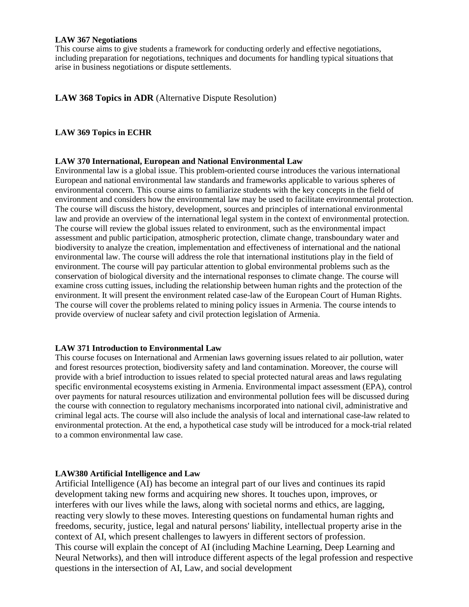#### **LAW 367 Negotiations**

This course aims to give students a framework for conducting orderly and effective negotiations, including preparation for negotiations, techniques and documents for handling typical situations that arise in business negotiations or dispute settlements.

# **LAW 368 Topics in ADR** (Alternative Dispute Resolution)

## **LAW 369 Topics in ECHR**

#### **LAW 370 International, European and National Environmental Law**

Environmental law is a global issue. This problem-oriented course introduces the various international European and national environmental law standards and frameworks applicable to various spheres of environmental concern. This course aims to familiarize students with the key concepts in the field of environment and considers how the environmental law may be used to facilitate environmental protection. The course will discuss the history, development, sources and principles of international environmental law and provide an overview of the international legal system in the context of environmental protection. The course will review the global issues related to environment, such as the environmental impact assessment and public participation, atmospheric protection, climate change, transboundary water and biodiversity to analyze the creation, implementation and effectiveness of international and the national environmental law. The course will address the role that international institutions play in the field of environment. The course will pay particular attention to global environmental problems such as the conservation of biological diversity and the international responses to climate change. The course will examine cross cutting issues, including the relationship between human rights and the protection of the environment. It will present the environment related case-law of the European Court of Human Rights. The course will cover the problems related to mining policy issues in Armenia. The course intends to provide overview of nuclear safety and civil protection legislation of Armenia.

### **LAW 371 Introduction to Environmental Law**

This course focuses on International and Armenian laws governing issues related to air pollution, water and forest resources protection, biodiversity safety and land contamination. Moreover, the course will provide with a brief introduction to issues related to special protected natural areas and laws regulating specific environmental ecosystems existing in Armenia. Environmental impact assessment (EPA), control over payments for natural resources utilization and environmental pollution fees will be discussed during the course with connection to regulatory mechanisms incorporated into national civil, administrative and criminal legal acts. The course will also include the analysis of local and international case-law related to environmental protection. At the end, a hypothetical case study will be introduced for a mock-trial related to a common environmental law case.

### **LAW380 Artificial Intelligence and Law**

Artificial Intelligence (AI) has become an integral part of our lives and continues its rapid development taking new forms and acquiring new shores. It touches upon, improves, or interferes with our lives while the laws, along with societal norms and ethics, are lagging, reacting very slowly to these moves. Interesting questions on fundamental human rights and freedoms, security, justice, legal and natural persons' liability, intellectual property arise in the context of AI, which present challenges to lawyers in different sectors of profession. This course will explain the concept of AI (including Machine Learning, Deep Learning and Neural Networks), and then will introduce different aspects of the legal profession and respective questions in the intersection of AI, Law, and social development